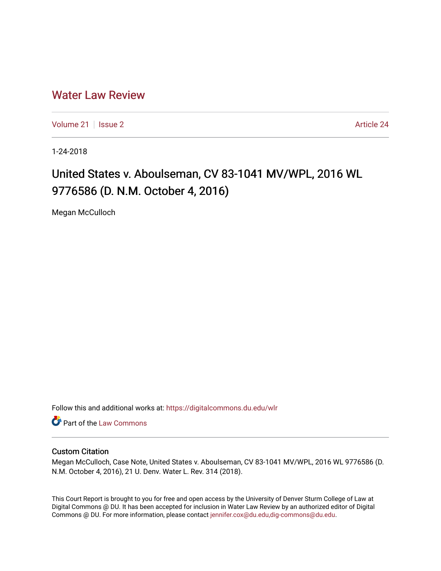## [Water Law Review](https://digitalcommons.du.edu/wlr)

[Volume 21](https://digitalcommons.du.edu/wlr/vol21) | [Issue 2](https://digitalcommons.du.edu/wlr/vol21/iss2) Article 24

1-24-2018

# United States v. Aboulseman, CV 83-1041 MV/WPL, 2016 WL 9776586 (D. N.M. October 4, 2016)

Megan McCulloch

Follow this and additional works at: [https://digitalcommons.du.edu/wlr](https://digitalcommons.du.edu/wlr?utm_source=digitalcommons.du.edu%2Fwlr%2Fvol21%2Fiss2%2F24&utm_medium=PDF&utm_campaign=PDFCoverPages) 

**Part of the [Law Commons](http://network.bepress.com/hgg/discipline/578?utm_source=digitalcommons.du.edu%2Fwlr%2Fvol21%2Fiss2%2F24&utm_medium=PDF&utm_campaign=PDFCoverPages)** 

### Custom Citation

Megan McCulloch, Case Note, United States v. Aboulseman, CV 83-1041 MV/WPL, 2016 WL 9776586 (D. N.M. October 4, 2016), 21 U. Denv. Water L. Rev. 314 (2018).

This Court Report is brought to you for free and open access by the University of Denver Sturm College of Law at Digital Commons @ DU. It has been accepted for inclusion in Water Law Review by an authorized editor of Digital Commons @ DU. For more information, please contact [jennifer.cox@du.edu,dig-commons@du.edu.](mailto:jennifer.cox@du.edu,dig-commons@du.edu)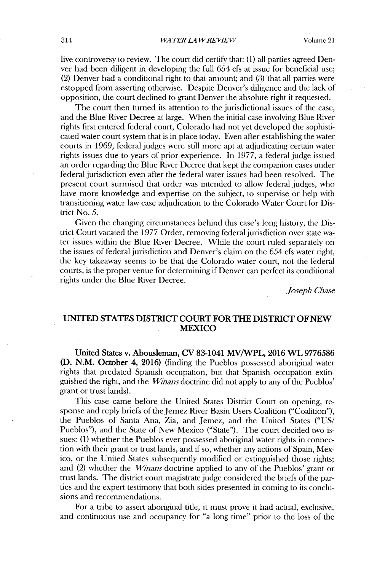live controversy to review. The court did certify that: **(1)** all parties agreed Denver had been diligent **in** developing the full *654* cfs at issue for beneficial use; (2) Denver had a conditional right to that amount; and (3) that all parties were estopped from asserting otherwise. Despite Denver's diligence and the lack of opposition, the court declined to grant Denver the absolute right it requested.

The court then turned its attention to the jurisdictional issues of the case, and the Blue River Decree at large. When the initial case involving Blue River rights first entered federal court, Colorado had not yet developed the sophisticated water court system that is in place today. Even after establishing the water courts in **1969,** federal judges were still more apt at adjudicating certain water rights issues due to years of prior experience. In **1977,** a federal judge issued an order regarding the Blue River Decree that kept the companion cases under federal jurisdiction even after the federal water issues had been resolved. The present court surmised that order was intended to allow federal judges, who have more knowledge and expertise on the subject, to supervise or help with transitioning water law case adjudication to the Colorado Water Court for **Dis**trict No. **5.**

Given the changing circumstances behind this case's long history, the **Dis**trict Court vacated the **1977** Order, removing federal jurisdiction over state water issues within the Blue River Decree. While the court ruled separately on the issues of federal jurisdiction and Denver's claim on the *654* cfs water right, the **key** takeaway seems to be that the Colorado water court, not the federal courts, is the proper venue for determining **if** Denver can perfect its conditional rights under the Blue River Decree.

*Joseph Chase*

#### **UNITED STATES DISTRICT COURT FOR THE DISTRICT OF NEW MEXICO**

**United States** v. Abousleman, **CV 83-1041 MV/WPL, 2016 WL 9776586 (D. N.M.** October 4, **2016)** (finding the Pueblos possessed aboriginal water rights that predated Spanish occupation, but that Spanish occupation extinguished the right, and the *Winans* doctrine did not apply to any of the Pueblos' grant or trust lands).

This case came before the United States District Court on opening, response and reply briefs of the Jemez River Basin Users Coalition ("Coalition"), the Pueblos of Santa Ana, Zia, and Jemez, and the United States ("US/ Pueblos"), and the State of New Mexico ("State"). The court decided two **is**sues: **(1)** whether the Pueblos ever possessed aboriginal water rights in connection with their grant or trust lands, and **if** so, whether any actions of Spain, Mexico, or the United States subsequently modified or extinguished those rights; and (2) whether the *Winans* doctrine applied to any of the Pueblos' grant or trust lands. The district court magistrate judge considered the briefs of the parties and the expert testimony that both sides presented in coming to its conclusions and recommendations.

For a tribe to assert aboriginal **tide,** it must prove it had actual, exclusive, and continuous use and occupancy for "a long time" prior to the loss of the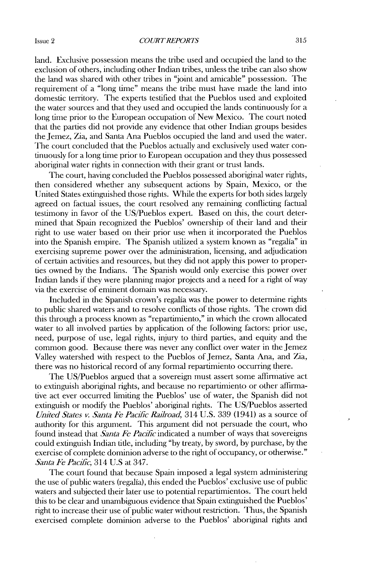land. Exclusive possession means the tribe used and occupied the land to the exclusion of others, including other Indian tribes, unless the tribe can also show the land was shared with other tribes in "joint and amicable" possession. The requirement of a "long time" means the tribe must have made the land into domestic territory. The experts testified that the Pueblos used and exploited the water sources and that they used and occupied the lands continuously for a long time prior to the European occupation of New Mexico. The court noted that the parties **did** not provide any evidence that other Indian groups besides the Jemez, Zia, and Santa Ana Pueblos occupied the land and used the water. The court concluded that the Pueblos actually and exclusively used water continuously for a long time prior to European occupation and they thus possessed aboriginal water rights in connection with their grant or trust lands.

The court, having concluded the Pueblos possessed aboriginal water rights, then considered whether any subsequent actions **by** Spain, Mexico, or the United States extinguished those rights. While the experts for both sides largely agreed on factual issues, the court resolved any remaining conflicting factual testimony in favor of the US/Pueblos expert. Based on this, the court determined that Spain recognized the Pueblos' ownership of their land and their right to use water based on their prior use when it incorporated the Pueblos into the Spanish empire. The Spanish utilized a system known as "regalia" in exercising supreme power over the administration, licensing, and adjudication of certain activities and resources, but they **did** not apply this power to properties owned **by** the Indians. The Spanish would only exercise this power over Indian lands if they were planning major projects and a need for a right of way via the exercise of eminent domain was necessary.

Included in the Spanish crown's regalia was the power to determine rights to public shared waters and to resolve conflicts of those rights. The crown **did** this through a process known as "repartimiento," in which the crown allocated water to all involved parties **by** application of the following factors: prior use, need, purpose of use, legal rights, injury to third parties, and equity and the common good. Because there was never any conflict over water in the Jemez Valley watershed with respect to the Pueblos of Jemez, Santa Ana, and Zia, there was no historical record of any formal repartimiento occurring there.

The US/Pueblos argued that a sovereign must assert some affirmative act to extinguish aboriginal rights, and because no repartimiento or other affirmative act ever occurred limiting the Pueblos' use of water, the Spanish did not extinguish or modify the Pueblos' aboriginal rights. The US/Pueblos asserted *United States v. Santa Fe Pacific Rairoad,* 314 **U.S. 339** (1941) as a source of authority for this argument. This argument **did** not persuade the court, who found instead that *Santa Fe Pacific* indicated a number of ways that sovereigns could extinguish Indian title, including **"by** treaty, **by** sword, **by** purchase, **by** the exercise of complete dominion adverse to the right of occupancy, or otherwise." *Santa Fe Pacific,* 314 U.S at 347.

The court found that because Spain imposed a legal system administering the use of public waters (regalia), this ended the Pueblos' exclusive use of public waters and subjected their later use to potential repartimientos. The court held this to be clear and unambiguous evidence that Spain extinguished the Pueblos' right to increase their use of public water without restriction. Thus, the Spanish exercised complete dominion adverse to the Pueblos' aboriginal rights and